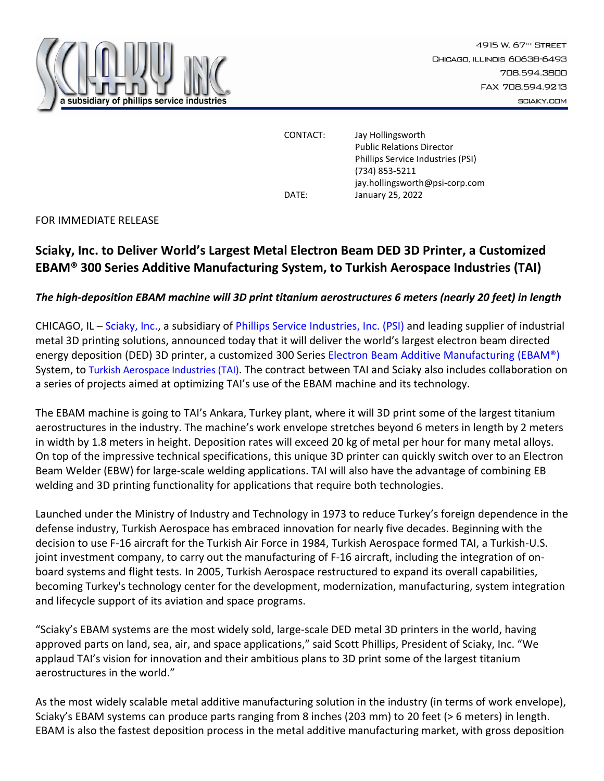

CONTACT: Jay Hollingsworth Public Relations Director Phillips Service Industries (PSI) (734) 853-5211 jay.hollingsworth@psi-corp.com DATE: January 25, 2022

FOR IMMEDIATE RELEASE

## **Sciaky, Inc. to Deliver World's Largest Metal Electron Beam DED 3D Printer, a Customized EBAM® 300 Series Additive Manufacturing System, to Turkish Aerospace Industries (TAI)**

## *The high-deposition EBAM machine will 3D print titanium aerostructures 6 meters (nearly 20 feet) in length*

CHICAGO, IL – [Sciaky, Inc.,](http://www.sciaky.com/) a subsidiary of [Phillips Service Industries, Inc.](http://www.psi-online.com/) (PSI) and leading supplier of industrial metal 3D printing solutions, announced today that it will deliver the world's largest electron beam directed energy deposition (DED) 3D printer, a customized 300 Serie[s Electron Beam Additive Manufacturing](http://www.sciaky.com/additive-manufacturing/electron-beam-additive-manufacturing-technology) (EBAM®) System, to [Turkish Aerospace Industries \(TAI\)](https://www.tusas.com/en). The contract between TAI and Sciaky also includes collaboration on a series of projects aimed at optimizing TAI's use of the EBAM machine and its technology.

The EBAM machine is going to TAI's Ankara, Turkey plant, where it will 3D print some of the largest titanium aerostructures in the industry. The machine's work envelope stretches beyond 6 meters in length by 2 meters in width by 1.8 meters in height. Deposition rates will exceed 20 kg of metal per hour for many metal alloys. On top of the impressive technical specifications, this unique 3D printer can quickly switch over to an Electron Beam Welder (EBW) for large-scale welding applications. TAI will also have the advantage of combining EB welding and 3D printing functionality for applications that require both technologies.

Launched under the Ministry of Industry and Technology in 1973 to reduce Turkey's foreign dependence in the defense industry, Turkish Aerospace has embraced innovation for nearly five decades. Beginning with the decision to use F-16 aircraft for the Turkish Air Force in 1984, Turkish Aerospace formed TAI, a Turkish-U.S. joint investment company, to carry out the manufacturing of F-16 aircraft, including the integration of onboard systems and flight tests. In 2005, Turkish Aerospace restructured to expand its overall capabilities, becoming Turkey's technology center for the development, modernization, manufacturing, system integration and lifecycle support of its aviation and space programs.

"Sciaky's EBAM systems are the most widely sold, large-scale DED metal 3D printers in the world, having approved parts on land, sea, air, and space applications," said Scott Phillips, President of Sciaky, Inc. "We applaud TAI's vision for innovation and their ambitious plans to 3D print some of the largest titanium aerostructures in the world."

As the most widely scalable metal additive manufacturing solution in the industry (in terms of work envelope), Sciaky's EBAM systems can produce parts ranging from 8 inches (203 mm) to 20 feet (> 6 meters) in length. EBAM is also the fastest deposition process in the metal additive manufacturing market, with gross deposition